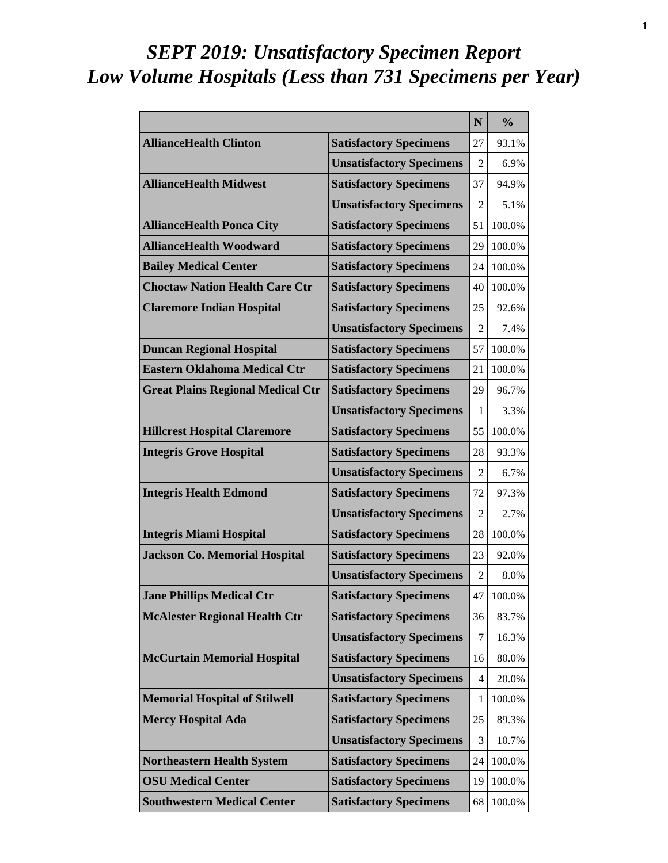# *SEPT 2019: Unsatisfactory Specimen Report Low Volume Hospitals (Less than 731 Specimens per Year)*

|                                          |                                 | N              | $\frac{0}{0}$ |
|------------------------------------------|---------------------------------|----------------|---------------|
| <b>AllianceHealth Clinton</b>            | <b>Satisfactory Specimens</b>   | 27             | 93.1%         |
|                                          | <b>Unsatisfactory Specimens</b> | 2              | 6.9%          |
| <b>AllianceHealth Midwest</b>            | <b>Satisfactory Specimens</b>   | 37             | 94.9%         |
|                                          | <b>Unsatisfactory Specimens</b> | $\overline{2}$ | 5.1%          |
| <b>AllianceHealth Ponca City</b>         | <b>Satisfactory Specimens</b>   | 51             | 100.0%        |
| <b>AllianceHealth Woodward</b>           | <b>Satisfactory Specimens</b>   | 29             | 100.0%        |
| <b>Bailey Medical Center</b>             | <b>Satisfactory Specimens</b>   | 24             | 100.0%        |
| <b>Choctaw Nation Health Care Ctr</b>    | <b>Satisfactory Specimens</b>   | 40             | 100.0%        |
| <b>Claremore Indian Hospital</b>         | <b>Satisfactory Specimens</b>   | 25             | 92.6%         |
|                                          | <b>Unsatisfactory Specimens</b> | 2              | 7.4%          |
| <b>Duncan Regional Hospital</b>          | <b>Satisfactory Specimens</b>   | 57             | 100.0%        |
| <b>Eastern Oklahoma Medical Ctr</b>      | <b>Satisfactory Specimens</b>   | 21             | 100.0%        |
| <b>Great Plains Regional Medical Ctr</b> | <b>Satisfactory Specimens</b>   | 29             | 96.7%         |
|                                          | <b>Unsatisfactory Specimens</b> | 1              | 3.3%          |
| <b>Hillcrest Hospital Claremore</b>      | <b>Satisfactory Specimens</b>   | 55             | 100.0%        |
| <b>Integris Grove Hospital</b>           | <b>Satisfactory Specimens</b>   | 28             | 93.3%         |
|                                          | <b>Unsatisfactory Specimens</b> | $\mathfrak{D}$ | 6.7%          |
| <b>Integris Health Edmond</b>            | <b>Satisfactory Specimens</b>   | 72             | 97.3%         |
|                                          | <b>Unsatisfactory Specimens</b> | $\overline{2}$ | 2.7%          |
| <b>Integris Miami Hospital</b>           | <b>Satisfactory Specimens</b>   | 28             | 100.0%        |
| <b>Jackson Co. Memorial Hospital</b>     | <b>Satisfactory Specimens</b>   | 23             | 92.0%         |
|                                          | <b>Unsatisfactory Specimens</b> | 2              | 8.0%          |
| <b>Jane Phillips Medical Ctr</b>         | <b>Satisfactory Specimens</b>   | 47             | 100.0%        |
| <b>McAlester Regional Health Ctr</b>     | <b>Satisfactory Specimens</b>   | 36             | 83.7%         |
|                                          | <b>Unsatisfactory Specimens</b> | 7              | 16.3%         |
| <b>McCurtain Memorial Hospital</b>       | <b>Satisfactory Specimens</b>   | 16             | 80.0%         |
|                                          | <b>Unsatisfactory Specimens</b> | 4              | 20.0%         |
| <b>Memorial Hospital of Stilwell</b>     | <b>Satisfactory Specimens</b>   | 1              | 100.0%        |
| <b>Mercy Hospital Ada</b>                | <b>Satisfactory Specimens</b>   | 25             | 89.3%         |
|                                          | <b>Unsatisfactory Specimens</b> | 3              | 10.7%         |
| <b>Northeastern Health System</b>        | <b>Satisfactory Specimens</b>   | 24             | 100.0%        |
| <b>OSU Medical Center</b>                | <b>Satisfactory Specimens</b>   | 19             | 100.0%        |
| <b>Southwestern Medical Center</b>       | <b>Satisfactory Specimens</b>   | 68             | 100.0%        |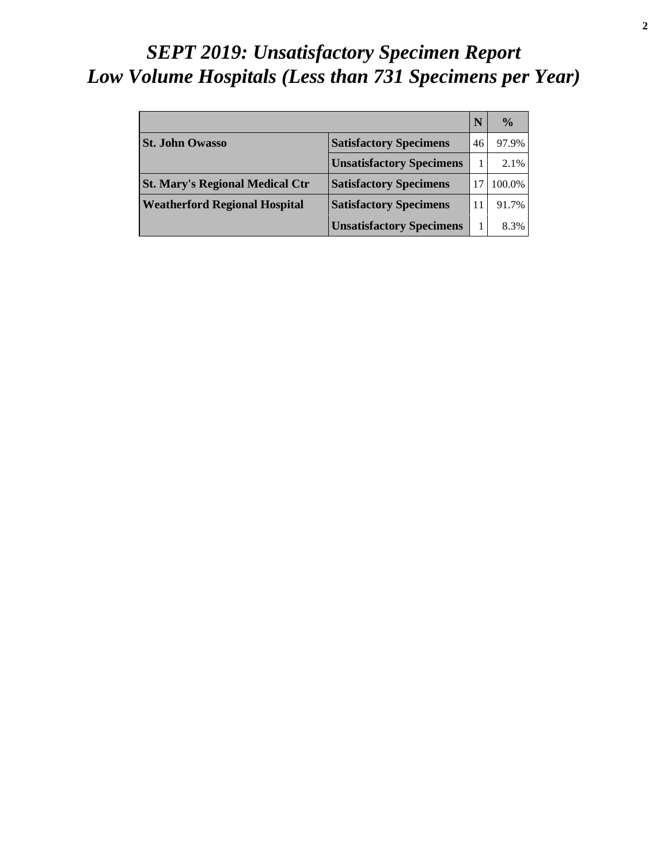# *SEPT 2019: Unsatisfactory Specimen Report Low Volume Hospitals (Less than 731 Specimens per Year)*

|                                        |                                 |    | $\frac{0}{0}$ |
|----------------------------------------|---------------------------------|----|---------------|
| <b>St. John Owasso</b>                 | <b>Satisfactory Specimens</b>   | 46 | 97.9%         |
|                                        | <b>Unsatisfactory Specimens</b> |    | 2.1%          |
| <b>St. Mary's Regional Medical Ctr</b> | <b>Satisfactory Specimens</b>   |    | 100.0%        |
| <b>Weatherford Regional Hospital</b>   | <b>Satisfactory Specimens</b>   |    | 91.7%         |
|                                        | <b>Unsatisfactory Specimens</b> |    | 8.3%          |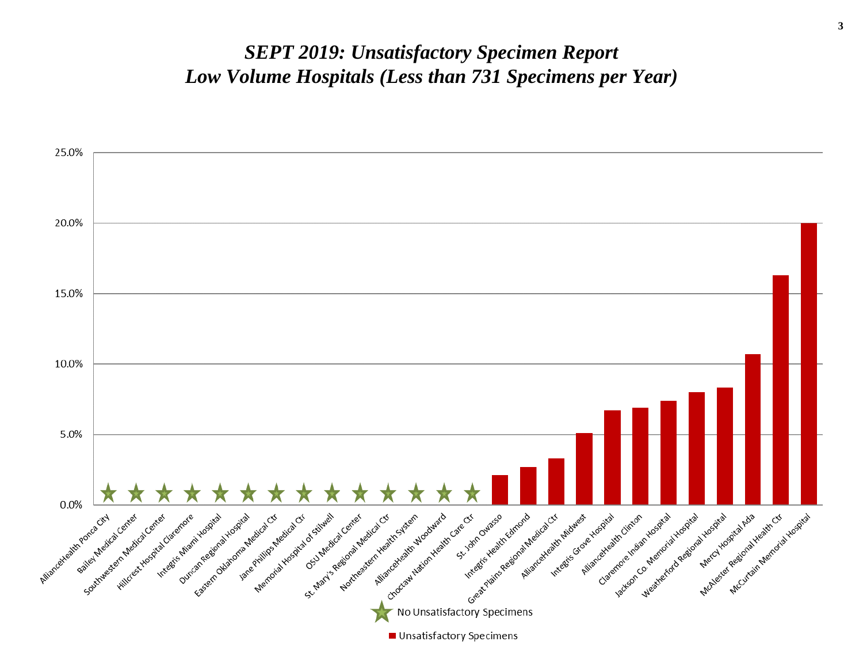#### *SEPT 2019: Unsatisfactory Specimen Report Low Volume Hospitals (Less than 731 Specimens per Year)*

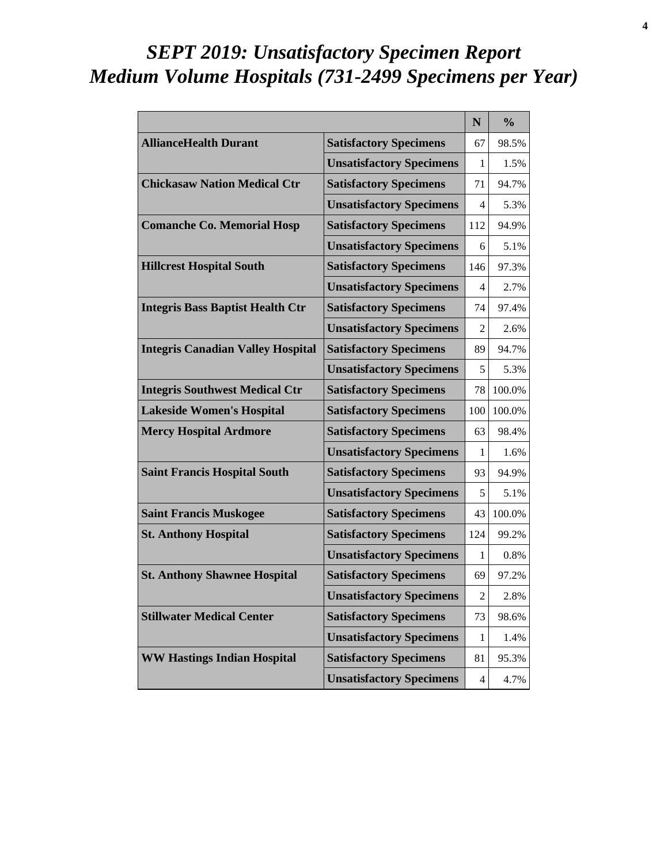# *SEPT 2019: Unsatisfactory Specimen Report Medium Volume Hospitals (731-2499 Specimens per Year)*

|                                          |                                 | N              | $\frac{0}{0}$ |
|------------------------------------------|---------------------------------|----------------|---------------|
| <b>AllianceHealth Durant</b>             | <b>Satisfactory Specimens</b>   | 67             | 98.5%         |
|                                          | <b>Unsatisfactory Specimens</b> | 1              | 1.5%          |
| <b>Chickasaw Nation Medical Ctr</b>      | <b>Satisfactory Specimens</b>   | 71             | 94.7%         |
|                                          | <b>Unsatisfactory Specimens</b> | 4              | 5.3%          |
| <b>Comanche Co. Memorial Hosp</b>        | <b>Satisfactory Specimens</b>   | 112            | 94.9%         |
|                                          | <b>Unsatisfactory Specimens</b> | 6              | 5.1%          |
| <b>Hillcrest Hospital South</b>          | <b>Satisfactory Specimens</b>   | 146            | 97.3%         |
|                                          | <b>Unsatisfactory Specimens</b> | 4              | 2.7%          |
| <b>Integris Bass Baptist Health Ctr</b>  | <b>Satisfactory Specimens</b>   | 74             | 97.4%         |
|                                          | <b>Unsatisfactory Specimens</b> | 2              | 2.6%          |
| <b>Integris Canadian Valley Hospital</b> | <b>Satisfactory Specimens</b>   | 89             | 94.7%         |
|                                          | <b>Unsatisfactory Specimens</b> | 5              | 5.3%          |
| <b>Integris Southwest Medical Ctr</b>    | <b>Satisfactory Specimens</b>   | 78             | 100.0%        |
| <b>Lakeside Women's Hospital</b>         | <b>Satisfactory Specimens</b>   | 100            | 100.0%        |
| <b>Mercy Hospital Ardmore</b>            | <b>Satisfactory Specimens</b>   | 63             | 98.4%         |
|                                          | <b>Unsatisfactory Specimens</b> | 1              | 1.6%          |
| <b>Saint Francis Hospital South</b>      | <b>Satisfactory Specimens</b>   | 93             | 94.9%         |
|                                          | <b>Unsatisfactory Specimens</b> | 5              | 5.1%          |
| <b>Saint Francis Muskogee</b>            | <b>Satisfactory Specimens</b>   | 43             | 100.0%        |
| <b>St. Anthony Hospital</b>              | <b>Satisfactory Specimens</b>   | 124            | 99.2%         |
|                                          | <b>Unsatisfactory Specimens</b> | $\mathbf{1}$   | 0.8%          |
| <b>St. Anthony Shawnee Hospital</b>      | <b>Satisfactory Specimens</b>   | 69             | 97.2%         |
|                                          | <b>Unsatisfactory Specimens</b> | $\overline{2}$ | 2.8%          |
| <b>Stillwater Medical Center</b>         | <b>Satisfactory Specimens</b>   | 73             | 98.6%         |
|                                          | <b>Unsatisfactory Specimens</b> | 1              | 1.4%          |
| <b>WW Hastings Indian Hospital</b>       | <b>Satisfactory Specimens</b>   | 81             | 95.3%         |
|                                          | <b>Unsatisfactory Specimens</b> | 4              | 4.7%          |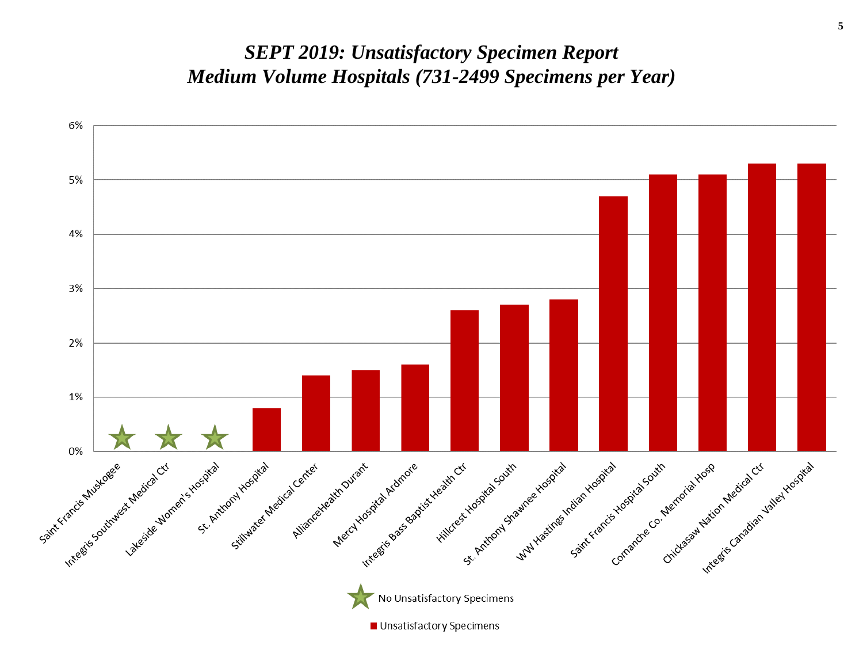#### *SEPT 2019: Unsatisfactory Specimen Report Medium Volume Hospitals (731-2499 Specimens per Year)*

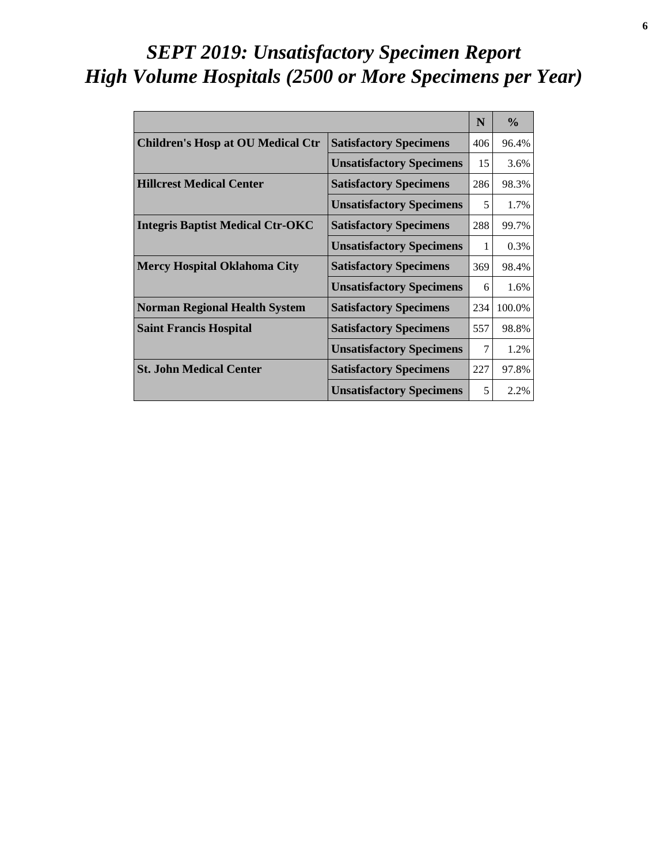# *SEPT 2019: Unsatisfactory Specimen Report High Volume Hospitals (2500 or More Specimens per Year)*

|                                          |                                 | N   | $\frac{0}{0}$ |
|------------------------------------------|---------------------------------|-----|---------------|
| <b>Children's Hosp at OU Medical Ctr</b> | <b>Satisfactory Specimens</b>   | 406 | 96.4%         |
|                                          | <b>Unsatisfactory Specimens</b> | 15  | 3.6%          |
| <b>Hillcrest Medical Center</b>          | <b>Satisfactory Specimens</b>   | 286 | 98.3%         |
|                                          | <b>Unsatisfactory Specimens</b> | 5   | 1.7%          |
| <b>Integris Baptist Medical Ctr-OKC</b>  | <b>Satisfactory Specimens</b>   | 288 | 99.7%         |
|                                          | <b>Unsatisfactory Specimens</b> | 1   | 0.3%          |
| <b>Mercy Hospital Oklahoma City</b>      | <b>Satisfactory Specimens</b>   | 369 | 98.4%         |
|                                          | <b>Unsatisfactory Specimens</b> | 6   | 1.6%          |
| <b>Norman Regional Health System</b>     | <b>Satisfactory Specimens</b>   | 234 | 100.0%        |
| <b>Saint Francis Hospital</b>            | <b>Satisfactory Specimens</b>   | 557 | 98.8%         |
|                                          | <b>Unsatisfactory Specimens</b> |     | 1.2%          |
| <b>St. John Medical Center</b>           | <b>Satisfactory Specimens</b>   | 227 | 97.8%         |
|                                          | <b>Unsatisfactory Specimens</b> | 5   | 2.2%          |